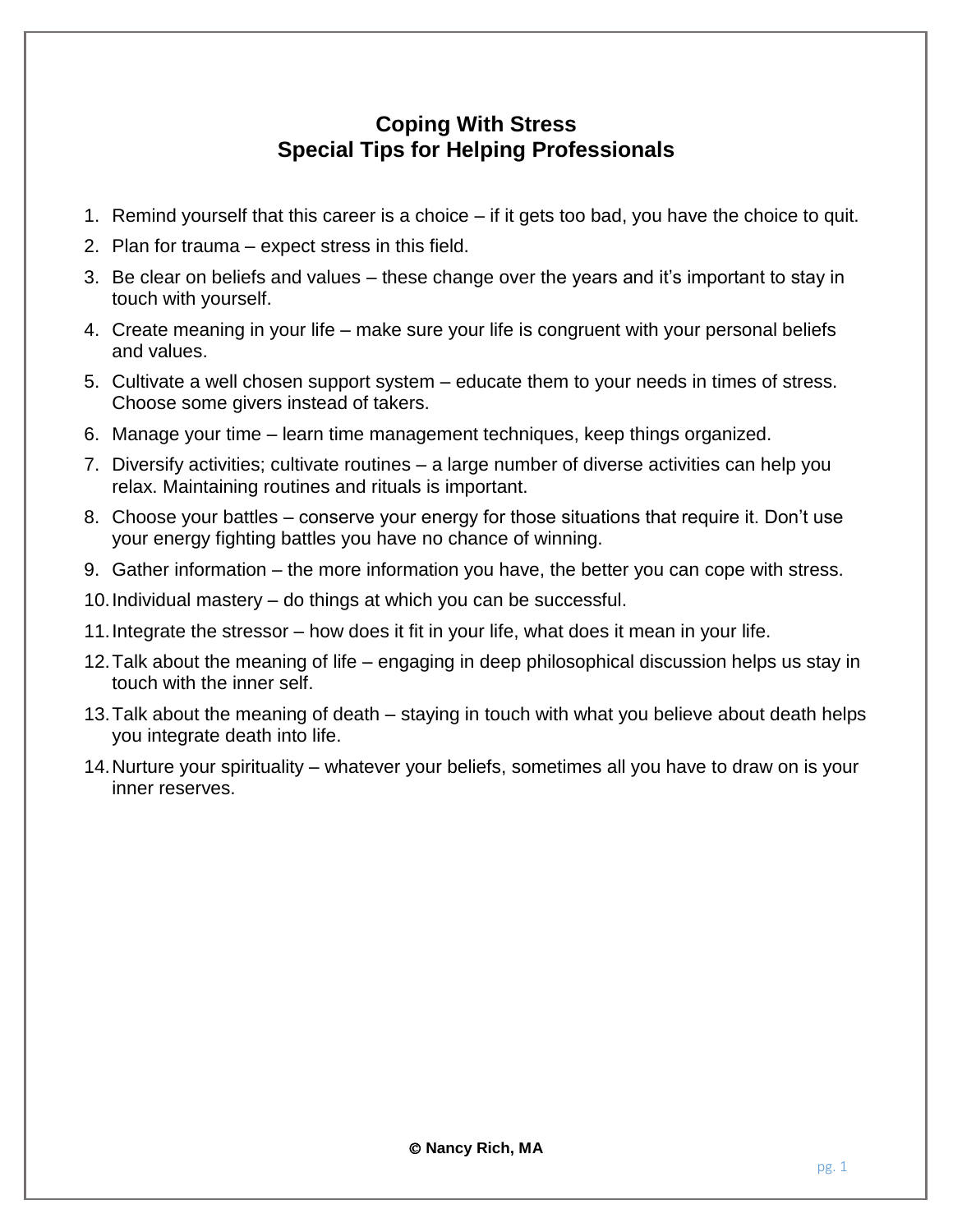## **Coping With Stress Special Tips for Helping Professionals**

- 1. Remind yourself that this career is a choice if it gets too bad, you have the choice to quit.
- 2. Plan for trauma expect stress in this field.
- 3. Be clear on beliefs and values these change over the years and it's important to stay in touch with yourself.
- 4. Create meaning in your life make sure your life is congruent with your personal beliefs and values.
- 5. Cultivate a well chosen support system educate them to your needs in times of stress. Choose some givers instead of takers.
- 6. Manage your time learn time management techniques, keep things organized.
- 7. Diversify activities; cultivate routines a large number of diverse activities can help you relax. Maintaining routines and rituals is important.
- 8. Choose your battles conserve your energy for those situations that require it. Don't use your energy fighting battles you have no chance of winning.
- 9. Gather information the more information you have, the better you can cope with stress.
- 10.Individual mastery do things at which you can be successful.
- 11.Integrate the stressor how does it fit in your life, what does it mean in your life.
- 12.Talk about the meaning of life engaging in deep philosophical discussion helps us stay in touch with the inner self.
- 13.Talk about the meaning of death staying in touch with what you believe about death helps you integrate death into life.
- 14.Nurture your spirituality whatever your beliefs, sometimes all you have to draw on is your inner reserves.